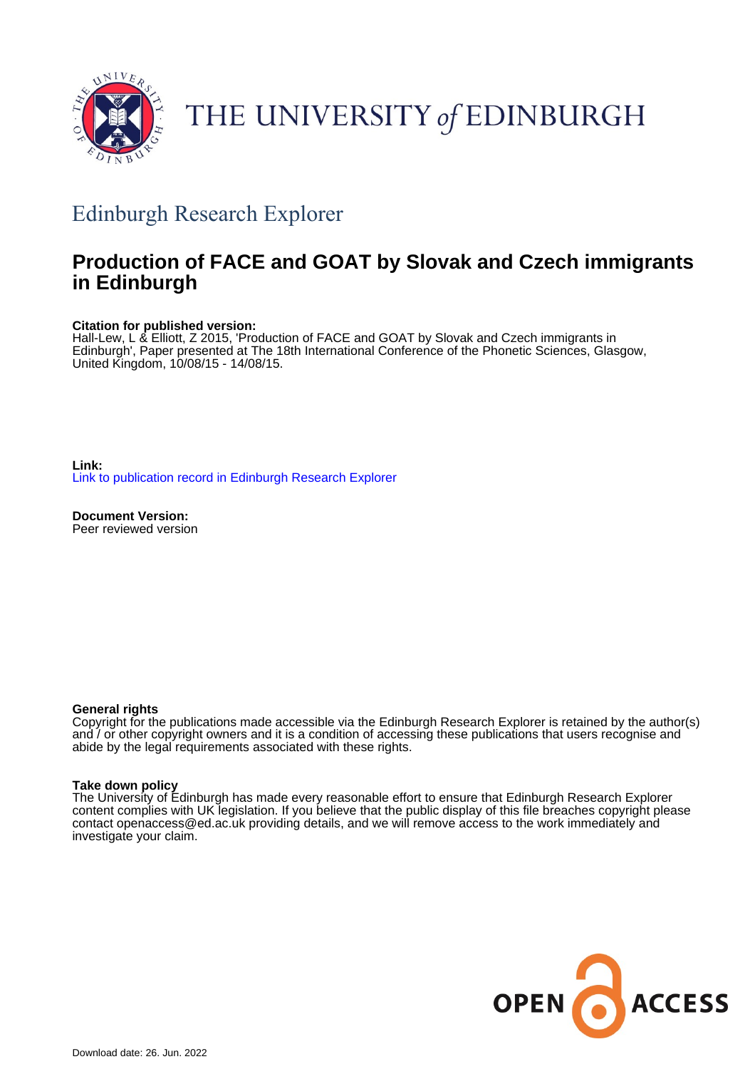

# THE UNIVERSITY of EDINBURGH

# Edinburgh Research Explorer

# **Production of FACE and GOAT by Slovak and Czech immigrants in Edinburgh**

#### **Citation for published version:**

Hall-Lew, L & Elliott, Z 2015, 'Production of FACE and GOAT by Slovak and Czech immigrants in Edinburgh', Paper presented at The 18th International Conference of the Phonetic Sciences, Glasgow, United Kingdom, 10/08/15 - 14/08/15.

**Link:** [Link to publication record in Edinburgh Research Explorer](https://www.research.ed.ac.uk/en/publications/655692ba-03ea-4a20-a993-c0d3f900a295)

**Document Version:** Peer reviewed version

#### **General rights**

Copyright for the publications made accessible via the Edinburgh Research Explorer is retained by the author(s) and / or other copyright owners and it is a condition of accessing these publications that users recognise and abide by the legal requirements associated with these rights.

#### **Take down policy**

The University of Edinburgh has made every reasonable effort to ensure that Edinburgh Research Explorer content complies with UK legislation. If you believe that the public display of this file breaches copyright please contact openaccess@ed.ac.uk providing details, and we will remove access to the work immediately and investigate your claim.

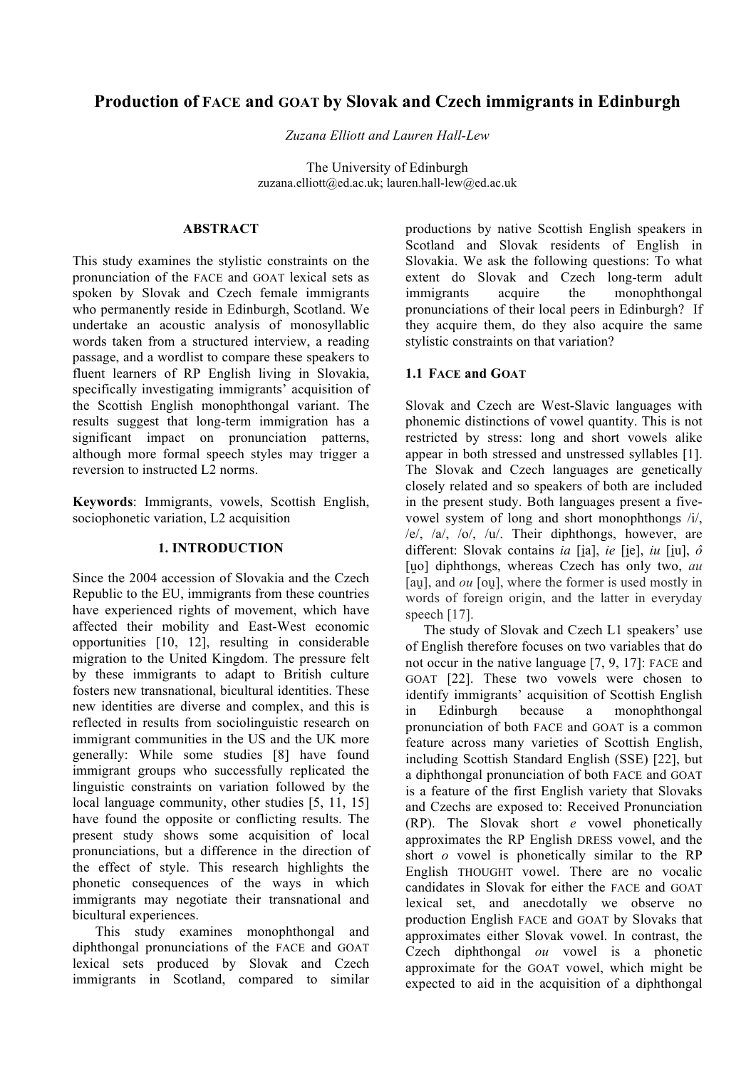# **Production of FACE and GOAT by Slovak and Czech immigrants in Edinburgh**

*Zuzana Elliott and Lauren Hall-Lew*

The University of Edinburgh zuzana.elliott@ed.ac.uk; lauren.hall-lew@ed.ac.uk

### **ABSTRACT**

This study examines the stylistic constraints on the pronunciation of the FACE and GOAT lexical sets as spoken by Slovak and Czech female immigrants who permanently reside in Edinburgh, Scotland. We undertake an acoustic analysis of monosyllablic words taken from a structured interview, a reading passage, and a wordlist to compare these speakers to fluent learners of RP English living in Slovakia, specifically investigating immigrants' acquisition of the Scottish English monophthongal variant. The results suggest that long-term immigration has a significant impact on pronunciation patterns, although more formal speech styles may trigger a reversion to instructed L2 norms.

**Keywords**: Immigrants, vowels, Scottish English, sociophonetic variation, L2 acquisition

#### **1. INTRODUCTION**

Since the 2004 accession of Slovakia and the Czech Republic to the EU, immigrants from these countries have experienced rights of movement, which have affected their mobility and East-West economic opportunities [10, 12], resulting in considerable migration to the United Kingdom. The pressure felt by these immigrants to adapt to British culture fosters new transnational, bicultural identities. These new identities are diverse and complex, and this is reflected in results from sociolinguistic research on immigrant communities in the US and the UK more generally: While some studies [8] have found immigrant groups who successfully replicated the linguistic constraints on variation followed by the local language community, other studies [5, 11, 15] have found the opposite or conflicting results. The present study shows some acquisition of local pronunciations, but a difference in the direction of the effect of style. This research highlights the phonetic consequences of the ways in which immigrants may negotiate their transnational and bicultural experiences.

This study examines monophthongal and diphthongal pronunciations of the FACE and GOAT lexical sets produced by Slovak and Czech immigrants in Scotland, compared to similar productions by native Scottish English speakers in Scotland and Slovak residents of English in Slovakia. We ask the following questions: To what extent do Slovak and Czech long-term adult immigrants acquire the monophthongal pronunciations of their local peers in Edinburgh? If they acquire them, do they also acquire the same stylistic constraints on that variation?

# **1.1 FACE and GOAT**

Slovak and Czech are West-Slavic languages with phonemic distinctions of vowel quantity. This is not restricted by stress: long and short vowels alike appear in both stressed and unstressed syllables [1]. The Slovak and Czech languages are genetically closely related and so speakers of both are included in the present study. Both languages present a fivevowel system of long and short monophthongs /i/, /e/, /a/, /o/, /u/. Their diphthongs, however, are different: Slovak contains *ia* [ia], *ie* [ie], *iu* [iu],  $\hat{o}$ [uo] diphthongs, whereas Czech has only two, *au* [au], and *ou* [ou], where the former is used mostly in words of foreign origin, and the latter in everyday speech [17].

The study of Slovak and Czech L1 speakers' use of English therefore focuses on two variables that do not occur in the native language [7, 9, 17]: FACE and GOAT [22]. These two vowels were chosen to identify immigrants' acquisition of Scottish English in Edinburgh because a monophthongal pronunciation of both FACE and GOAT is a common feature across many varieties of Scottish English, including Scottish Standard English (SSE) [22], but a diphthongal pronunciation of both FACE and GOAT is a feature of the first English variety that Slovaks and Czechs are exposed to: Received Pronunciation (RP). The Slovak short *e* vowel phonetically approximates the RP English DRESS vowel, and the short *o* vowel is phonetically similar to the RP English THOUGHT vowel. There are no vocalic candidates in Slovak for either the FACE and GOAT lexical set, and anecdotally we observe no production English FACE and GOAT by Slovaks that approximates either Slovak vowel. In contrast, the Czech diphthongal *ou* vowel is a phonetic approximate for the GOAT vowel, which might be expected to aid in the acquisition of a diphthongal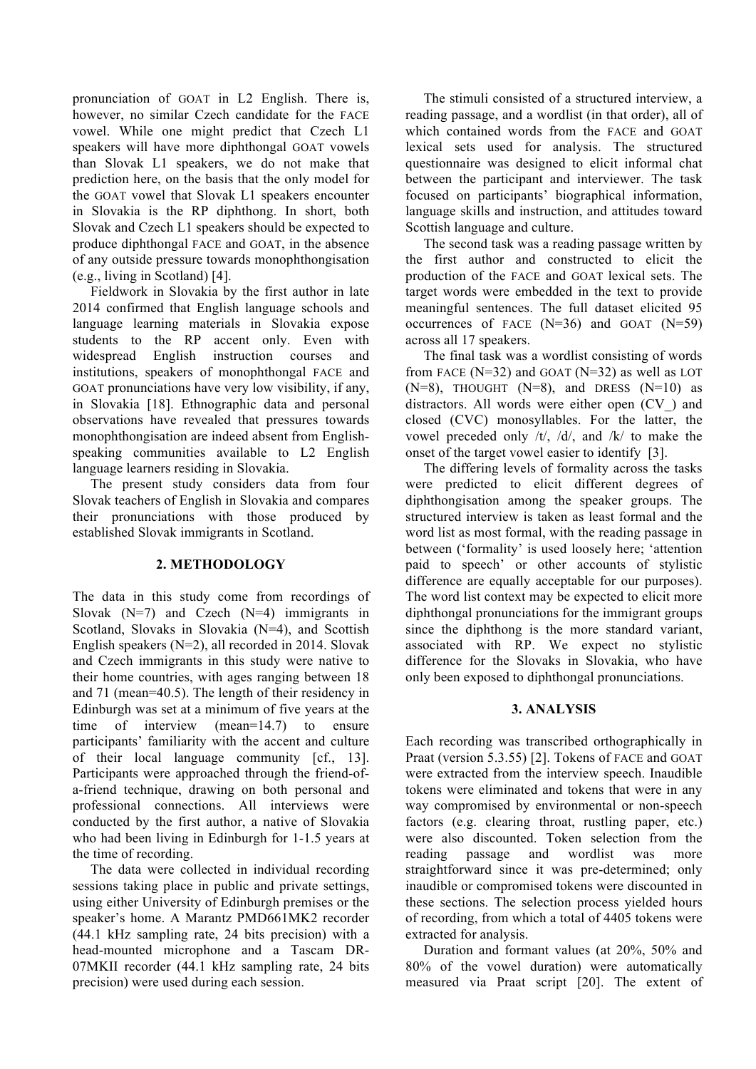pronunciation of GOAT in L2 English. There is, however, no similar Czech candidate for the FACE vowel. While one might predict that Czech L1 speakers will have more diphthongal GOAT vowels than Slovak L1 speakers, we do not make that prediction here, on the basis that the only model for the GOAT vowel that Slovak L1 speakers encounter in Slovakia is the RP diphthong. In short, both Slovak and Czech L1 speakers should be expected to produce diphthongal FACE and GOAT, in the absence of any outside pressure towards monophthongisation (e.g., living in Scotland) [4].

Fieldwork in Slovakia by the first author in late 2014 confirmed that English language schools and language learning materials in Slovakia expose students to the RP accent only. Even with widespread English instruction courses and institutions, speakers of monophthongal FACE and GOAT pronunciations have very low visibility, if any, in Slovakia [18]. Ethnographic data and personal observations have revealed that pressures towards monophthongisation are indeed absent from Englishspeaking communities available to L2 English language learners residing in Slovakia.

The present study considers data from four Slovak teachers of English in Slovakia and compares their pronunciations with those produced by established Slovak immigrants in Scotland.

#### **2. METHODOLOGY**

The data in this study come from recordings of Slovak  $(N=7)$  and Czech  $(N=4)$  immigrants in Scotland, Slovaks in Slovakia (N=4), and Scottish English speakers (N=2), all recorded in 2014. Slovak and Czech immigrants in this study were native to their home countries, with ages ranging between 18 and 71 (mean=40.5). The length of their residency in Edinburgh was set at a minimum of five years at the time of interview (mean=14.7) to ensure participants' familiarity with the accent and culture of their local language community [cf., 13]. Participants were approached through the friend-ofa-friend technique, drawing on both personal and professional connections. All interviews were conducted by the first author, a native of Slovakia who had been living in Edinburgh for 1-1.5 years at the time of recording.

The data were collected in individual recording sessions taking place in public and private settings, using either University of Edinburgh premises or the speaker's home. A Marantz PMD661MK2 recorder (44.1 kHz sampling rate, 24 bits precision) with a head-mounted microphone and a Tascam DR-07MKII recorder (44.1 kHz sampling rate, 24 bits precision) were used during each session.

The stimuli consisted of a structured interview, a reading passage, and a wordlist (in that order), all of which contained words from the FACE and GOAT lexical sets used for analysis. The structured questionnaire was designed to elicit informal chat between the participant and interviewer. The task focused on participants' biographical information, language skills and instruction, and attitudes toward Scottish language and culture.

The second task was a reading passage written by the first author and constructed to elicit the production of the FACE and GOAT lexical sets. The target words were embedded in the text to provide meaningful sentences. The full dataset elicited 95 occurrences of FACE  $(N=36)$  and GOAT  $(N=59)$ across all 17 speakers.

The final task was a wordlist consisting of words from FACE ( $N=32$ ) and GOAT ( $N=32$ ) as well as LOT  $(N=8)$ , THOUGHT  $(N=8)$ , and DRESS  $(N=10)$  as distractors. All words were either open (CV\_) and closed (CVC) monosyllables. For the latter, the vowel preceded only /t/, /d/, and /k/ to make the onset of the target vowel easier to identify [3].

The differing levels of formality across the tasks were predicted to elicit different degrees of diphthongisation among the speaker groups. The structured interview is taken as least formal and the word list as most formal, with the reading passage in between ('formality' is used loosely here; 'attention paid to speech' or other accounts of stylistic difference are equally acceptable for our purposes). The word list context may be expected to elicit more diphthongal pronunciations for the immigrant groups since the diphthong is the more standard variant, associated with RP. We expect no stylistic difference for the Slovaks in Slovakia, who have only been exposed to diphthongal pronunciations.

#### **3. ANALYSIS**

Each recording was transcribed orthographically in Praat (version 5.3.55) [2]. Tokens of FACE and GOAT were extracted from the interview speech. Inaudible tokens were eliminated and tokens that were in any way compromised by environmental or non-speech factors (e.g. clearing throat, rustling paper, etc.) were also discounted. Token selection from the reading passage and wordlist was more straightforward since it was pre-determined; only inaudible or compromised tokens were discounted in these sections. The selection process yielded hours of recording, from which a total of 4405 tokens were extracted for analysis.

Duration and formant values (at 20%, 50% and 80% of the vowel duration) were automatically measured via Praat script [20]. The extent of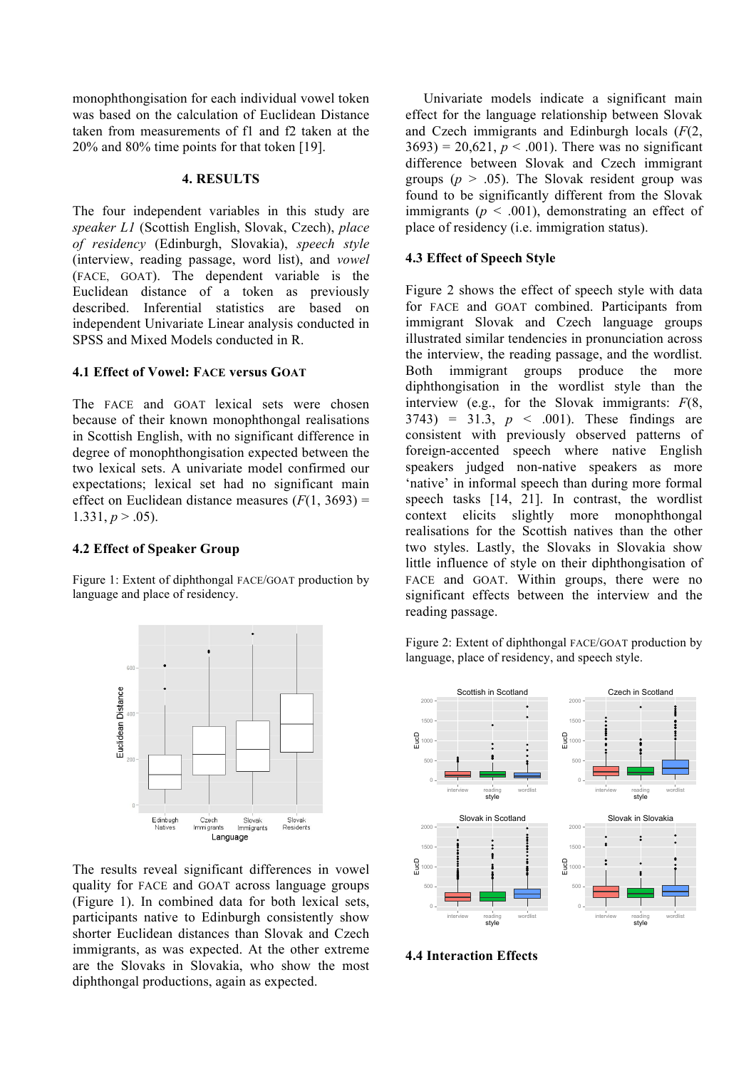monophthongisation for each individual vowel token was based on the calculation of Euclidean Distance taken from measurements of f1 and f2 taken at the 20% and 80% time points for that token [19].

#### **4. RESULTS**

The four independent variables in this study are *speaker L1* (Scottish English, Slovak, Czech), *place of residency* (Edinburgh, Slovakia), *speech style* (interview, reading passage, word list), and *vowel* (FACE, GOAT). The dependent variable is the Euclidean distance of a token as previously described. Inferential statistics are based on independent Univariate Linear analysis conducted in SPSS and Mixed Models conducted in R.

## **4.1 Effect of Vowel: FACE versus GOAT**

The FACE and GOAT lexical sets were chosen because of their known monophthongal realisations in Scottish English, with no significant difference in degree of monophthongisation expected between the two lexical sets. A univariate model confirmed our expectations; lexical set had no significant main effect on Euclidean distance measures  $(F(1, 3693))$  = 1.331,  $p > .05$ ).

# **4.2 Effect of Speaker Group**

Figure 1: Extent of diphthongal FACE/GOAT production by language and place of residency.



The results reveal significant differences in vowel quality for FACE and GOAT across language groups (Figure 1). In combined data for both lexical sets, participants native to Edinburgh consistently show shorter Euclidean distances than Slovak and Czech immigrants, as was expected. At the other extreme are the Slovaks in Slovakia, who show the most diphthongal productions, again as expected.

Univariate models indicate a significant main effect for the language relationship between Slovak and Czech immigrants and Edinburgh locals (*F*(2,  $3693$ ) = 20,621,  $p < .001$ ). There was no significant difference between Slovak and Czech immigrant groups ( $p > .05$ ). The Slovak resident group was found to be significantly different from the Slovak immigrants ( $p < .001$ ), demonstrating an effect of place of residency (i.e. immigration status).

## **4.3 Effect of Speech Style**

Figure 2 shows the effect of speech style with data for FACE and GOAT combined. Participants from immigrant Slovak and Czech language groups illustrated similar tendencies in pronunciation across the interview, the reading passage, and the wordlist. Both immigrant groups produce the more diphthongisation in the wordlist style than the interview (e.g., for the Slovak immigrants: *F*(8,  $3743$ ) = 31.3,  $p \le 0.001$ ). These findings are consistent with previously observed patterns of foreign-accented speech where native English speakers judged non-native speakers as more 'native' in informal speech than during more formal speech tasks [14, 21]. In contrast, the wordlist context elicits slightly more monophthongal realisations for the Scottish natives than the other two styles. Lastly, the Slovaks in Slovakia show little influence of style on their diphthongisation of FACE and GOAT. Within groups, there were no significant effects between the interview and the reading passage.

Figure 2: Extent of diphthongal FACE/GOAT production by language, place of residency, and speech style.



**4.4 Interaction Effects**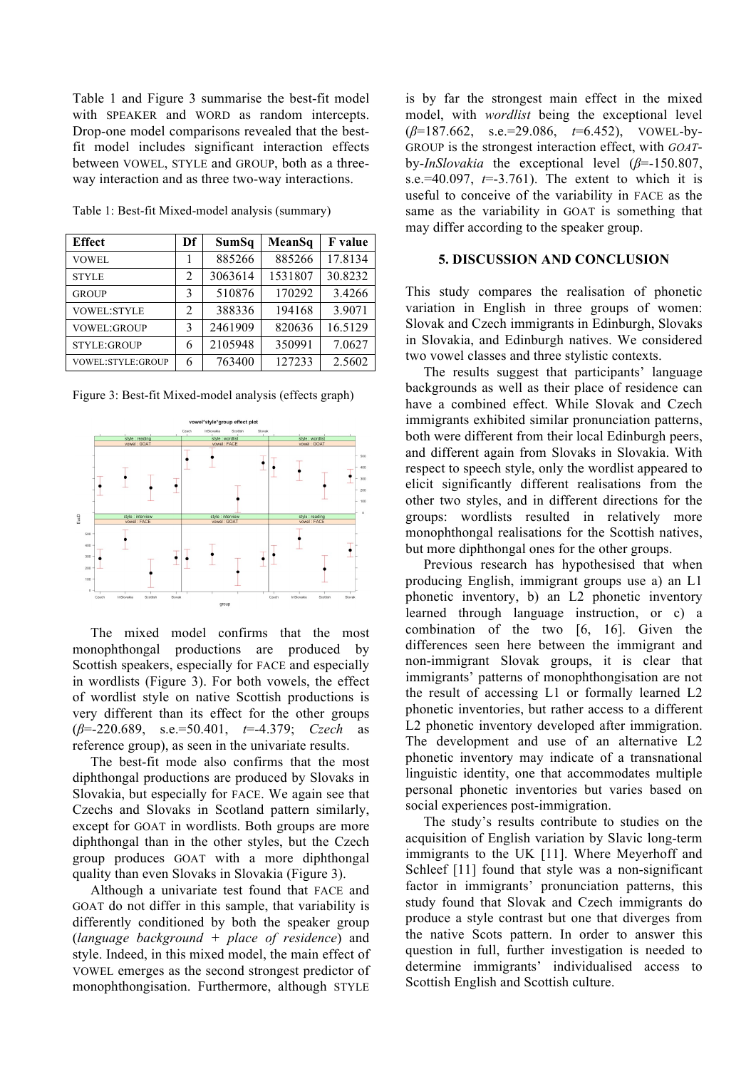Table 1 and Figure 3 summarise the best-fit model with SPEAKER and WORD as random intercepts. Drop-one model comparisons revealed that the bestfit model includes significant interaction effects between VOWEL, STYLE and GROUP, both as a threeway interaction and as three two-way interactions.

| <b>Effect</b>            | Df | SumSq   | MeanSq  | <b>F</b> value |
|--------------------------|----|---------|---------|----------------|
| <b>VOWEL</b>             |    | 885266  | 885266  | 17.8134        |
| <b>STYLE</b>             | 2  | 3063614 | 1531807 | 30.8232        |
| <b>GROUP</b>             | 3  | 510876  | 170292  | 3.4266         |
| <b>VOWEL:STYLE</b>       | 2  | 388336  | 194168  | 3.9071         |
| <b>VOWEL:GROUP</b>       | 3  | 2461909 | 820636  | 16.5129        |
| <b>STYLE:GROUP</b>       | 6  | 2105948 | 350991  | 7.0627         |
| <b>VOWEL:STYLE:GROUP</b> | 6  | 763400  | 127233  | 2.5602         |

Table 1: Best-fit Mixed-model analysis (summary)

Figure 3: Best-fit Mixed-model analysis (effects graph)



The mixed model confirms that the most monophthongal productions are produced by Scottish speakers, especially for FACE and especially in wordlists (Figure 3). For both vowels, the effect of wordlist style on native Scottish productions is very different than its effect for the other groups (*β*=-220.689, s.e.=50.401, *t*=-4.379; *Czech* as reference group), as seen in the univariate results.

The best-fit mode also confirms that the most diphthongal productions are produced by Slovaks in Slovakia, but especially for FACE. We again see that Czechs and Slovaks in Scotland pattern similarly, except for GOAT in wordlists. Both groups are more diphthongal than in the other styles, but the Czech group produces GOAT with a more diphthongal quality than even Slovaks in Slovakia (Figure 3).

Although a univariate test found that FACE and GOAT do not differ in this sample, that variability is differently conditioned by both the speaker group (*language background + place of residence*) and style. Indeed, in this mixed model, the main effect of VOWEL emerges as the second strongest predictor of monophthongisation. Furthermore, although STYLE

is by far the strongest main effect in the mixed model, with *wordlist* being the exceptional level (*β*=187.662, s.e.=29.086, *t*=6.452), VOWEL-by-GROUP is the strongest interaction effect, with *GOAT*by-*InSlovakia* the exceptional level (*β*=-150.807, s.e.=40.097,  $t=3.761$ ). The extent to which it is useful to conceive of the variability in FACE as the same as the variability in GOAT is something that may differ according to the speaker group.

#### **5. DISCUSSION AND CONCLUSION**

This study compares the realisation of phonetic variation in English in three groups of women: Slovak and Czech immigrants in Edinburgh, Slovaks in Slovakia, and Edinburgh natives. We considered two vowel classes and three stylistic contexts.

The results suggest that participants' language backgrounds as well as their place of residence can have a combined effect. While Slovak and Czech immigrants exhibited similar pronunciation patterns, both were different from their local Edinburgh peers, and different again from Slovaks in Slovakia. With respect to speech style, only the wordlist appeared to elicit significantly different realisations from the other two styles, and in different directions for the groups: wordlists resulted in relatively more monophthongal realisations for the Scottish natives, but more diphthongal ones for the other groups.

Previous research has hypothesised that when producing English, immigrant groups use a) an L1 phonetic inventory, b) an L2 phonetic inventory learned through language instruction, or c) a combination of the two [6, 16]. Given the differences seen here between the immigrant and non-immigrant Slovak groups, it is clear that immigrants' patterns of monophthongisation are not the result of accessing L1 or formally learned L2 phonetic inventories, but rather access to a different L2 phonetic inventory developed after immigration. The development and use of an alternative L2 phonetic inventory may indicate of a transnational linguistic identity, one that accommodates multiple personal phonetic inventories but varies based on social experiences post-immigration.

The study's results contribute to studies on the acquisition of English variation by Slavic long-term immigrants to the UK [11]. Where Meyerhoff and Schleef [11] found that style was a non-significant factor in immigrants' pronunciation patterns, this study found that Slovak and Czech immigrants do produce a style contrast but one that diverges from the native Scots pattern. In order to answer this question in full, further investigation is needed to determine immigrants' individualised access to Scottish English and Scottish culture.